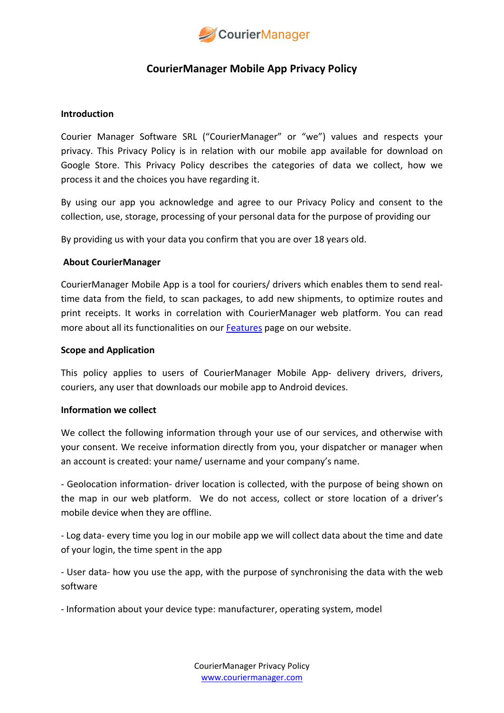

# **CourierManager Mobile App Privacy Policy**

## **Introduction**

Courier Manager Software SRL ("CourierManager" or "we") values and respects your privacy. This Privacy Policy is in relation with our mobile app available for download on Google Store. This Privacy Policy describes the categories of data we collect, how we process it and the choices you have regarding it.

By using our app you acknowledge and agree to our Privacy Policy and consent to the collection, use, storage, processing of your personal data for the purpose of providing our

By providing us with your data you confirm that you are over 18 years old.

## **About CourierManager**

CourierManager Mobile App is a tool for couriers/ drivers which enables them to send realtime data from the field, to scan packages, to add new shipments, to optimize routes and print receipts. It works in correlation with CourierManager web platform. You can read more about all its functionalities on our [Features](https://www.couriermanager.com/features#courier-mobile-app) page on our website.

### **Scope and Application**

This policy applies to users of CourierManager Mobile App- delivery drivers, drivers, couriers, any user that downloads our mobile app to Android devices.

## **Information we collect**

We collect the following information through your use of our services, and otherwise with your consent. We receive information directly from you, your dispatcher or manager when an account is created: your name/ username and your company's name.

- Geolocation information- driver location is collected, with the purpose of being shown on the map in our web platform. We do not access, collect or store location of a driver's mobile device when they are offline.

- Log data- every time you log in our mobile app we will collect data about the time and date of your login, the time spent in the app

- User data- how you use the app, with the purpose of synchronising the data with the web software

- Information about your device type: manufacturer, operating system, model